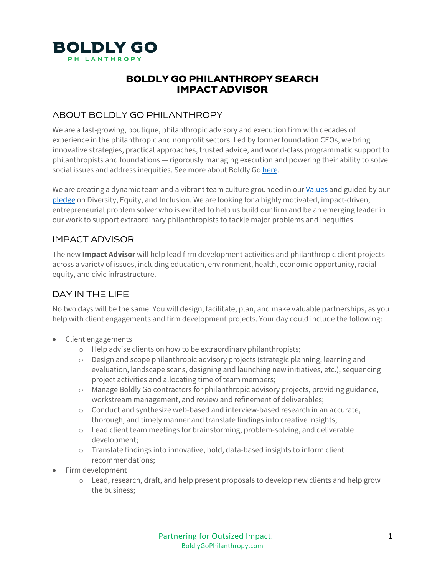

# BOLDLY GO PHILANTHROPY SEARCH IMPACT ADVISOR

## ABOUT BOLDLY GO PHILANTHROPY

We are a fast-growing, boutique, philanthropic advisory and execution firm with decades of experience in the philanthropic and nonprofit sectors. Led by former foundation CEOs, we bring innovative strategies, practical approaches, trusted advice, and world-class programmatic support to philanthropists and foundations — rigorously managing execution and powering their ability to solve social issues and address inequities. See more about Boldly Go here.

We are creating a dynamic team and a vibrant team culture grounded in our Values and guided by our pledge on Diversity, Equity, and Inclusion. We are looking for a highly motivated, impact-driven, entrepreneurial problem solver who is excited to help us build our firm and be an emerging leader in our work to support extraordinary philanthropists to tackle major problems and inequities.

#### IMPACT ADVISOR

The new **Impact Advisor** will help lead firm development activities and philanthropic client projects across a variety of issues, including education, environment, health, economic opportunity, racial equity, and civic infrastructure.

#### DAY IN THE LIFE

No two days will be the same. You will design, facilitate, plan, and make valuable partnerships, as you help with client engagements and firm development projects. Your day could include the following:

- Client engagements
	- o Help advise clients on how to be extraordinary philanthropists;
	- o Design and scope philanthropic advisory projects (strategic planning, learning and evaluation, landscape scans, designing and launching new initiatives, etc.), sequencing project activities and allocating time of team members;
	- o Manage Boldly Go contractors for philanthropic advisory projects, providing guidance, workstream management, and review and refinement of deliverables;
	- o Conduct and synthesize web-based and interview-based research in an accurate, thorough, and timely manner and translate findings into creative insights;
	- o Lead client team meetings for brainstorming, problem-solving, and deliverable development;
	- o Translate findings into innovative, bold, data-based insights to inform client recommendations;
- Firm development
	- o Lead, research, draft, and help present proposals to develop new clients and help grow the business;